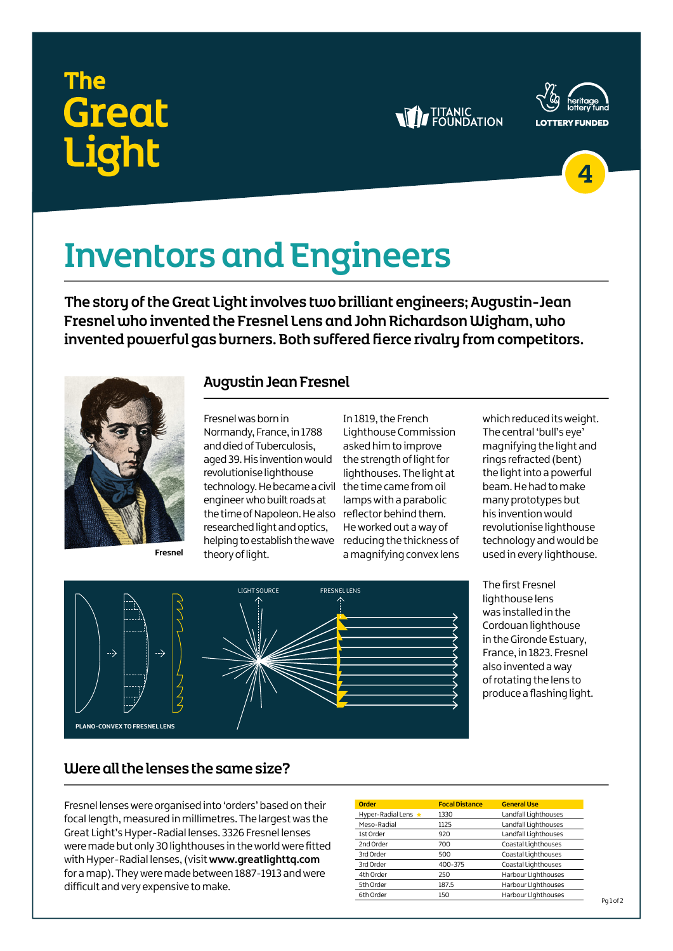## The **Great** <u>iaht</u>

### **WE TITANIC**





# Inventors and Engineers

The story of the Great Light involves two brilliant engineers; Augustin-Jean Fresnel who invented the Fresnel Lens and John Richardson Wigham, who invented powerful gas burners. Both suffered fierce rivalry from competitors.



**Fresnel**

#### Augustin Jean Fresnel

Fresnel was born in Normandy, France, in 1788 and died of Tuberculosis, aged 39. His invention would revolutionise lighthouse technology. He became a civil the time came from oil engineer who built roads at the time of Napoleon. He also reflector behind them. researched light and optics, helping to establish the wave reducing the thickness of theory of light.

In 1819, the French Lighthouse Commission asked him to improve the strength of light for lighthouses. The light at lamps with a parabolic He worked out a way of a magnifying convex lens which reduced its weight. The central 'bull's eye' magnifying the light and rings refracted (bent) the light into a powerful beam. He had to make many prototypes but his invention would revolutionise lighthouse technology and would be used in every lighthouse.



The first Fresnel lighthouse lens was installed in the Cordouan lighthouse in the Gironde Estuary, France, in 1823. Fresnel also invented a way of rotating the lens to produce a flashing light.

### Were all the lenses the same size?

Fresnel lenses were organised into 'orders' based on their focal length, measured in millimetres. The largest was the Great Light's Hyper-Radial lenses. 3326 Fresnel lenses were made but only 30 lighthouses in the world were fitted with Hyper-Radial lenses, (visit **www.greatlighttq.com** for a map). They were made between 1887-1913 and were difficult and very expensive to make.

| Order               | <b>Focal Distance</b> | <b>General Use</b>   |
|---------------------|-----------------------|----------------------|
| Hyper-Radial Lens ★ | 1330                  | Landfall Lighthouses |
| Meso-Radial         | 1125                  | Landfall Lighthouses |
| 1st Order           | 920                   | Landfall Lighthouses |
| 2nd Order           | 700                   | Coastal Lighthouses  |
| 3rd Order           | 500                   | Coastal Lighthouses  |
| 3rd Order           | 400-375               | Coastal Lighthouses  |
| 4th Order           | 250                   | Harbour Lighthouses  |
| 5th Order           | 187.5                 | Harbour Lighthouses  |
| 6th Order           | 150                   | Harbour Lighthouses  |
|                     |                       |                      |

 $Pq1$  of 2